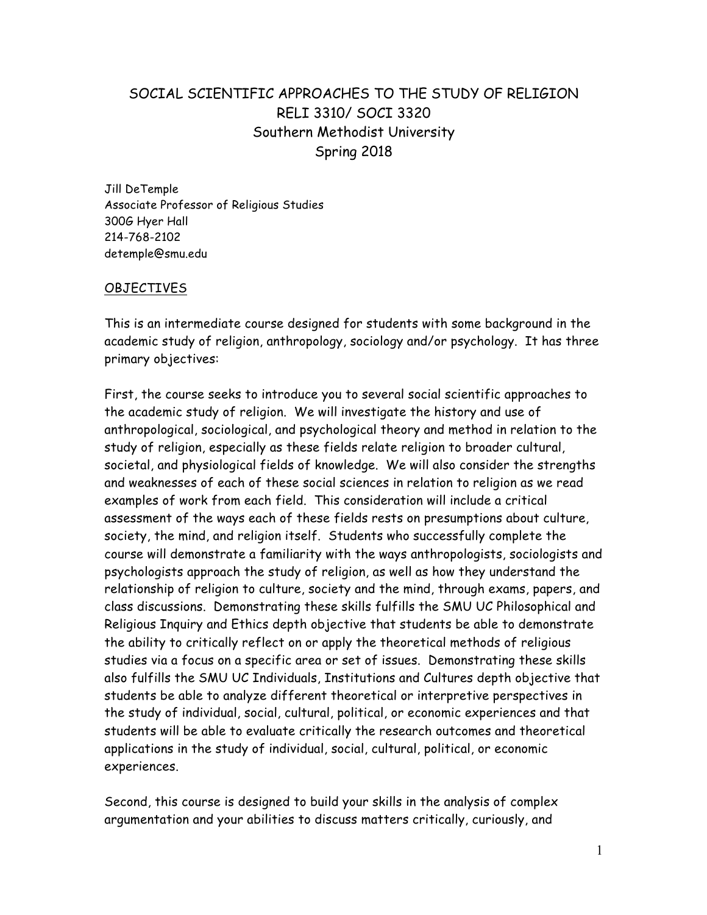## SOCIAL SCIENTIFIC APPROACHES TO THE STUDY OF RELIGION RELI 3310/ SOCI 3320 Southern Methodist University Spring 2018

Jill DeTemple Associate Professor of Religious Studies 300G Hyer Hall 214-768-2102 detemple@smu.edu

## OBJECTIVES

This is an intermediate course designed for students with some background in the academic study of religion, anthropology, sociology and/or psychology. It has three primary objectives:

First, the course seeks to introduce you to several social scientific approaches to the academic study of religion. We will investigate the history and use of anthropological, sociological, and psychological theory and method in relation to the study of religion, especially as these fields relate religion to broader cultural, societal, and physiological fields of knowledge. We will also consider the strengths and weaknesses of each of these social sciences in relation to religion as we read examples of work from each field. This consideration will include a critical assessment of the ways each of these fields rests on presumptions about culture, society, the mind, and religion itself. Students who successfully complete the course will demonstrate a familiarity with the ways anthropologists, sociologists and psychologists approach the study of religion, as well as how they understand the relationship of religion to culture, society and the mind, through exams, papers, and class discussions. Demonstrating these skills fulfills the SMU UC Philosophical and Religious Inquiry and Ethics depth objective that students be able to demonstrate the ability to critically reflect on or apply the theoretical methods of religious studies via a focus on a specific area or set of issues. Demonstrating these skills also fulfills the SMU UC Individuals, Institutions and Cultures depth objective that students be able to analyze different theoretical or interpretive perspectives in the study of individual, social, cultural, political, or economic experiences and that students will be able to evaluate critically the research outcomes and theoretical applications in the study of individual, social, cultural, political, or economic experiences.

Second, this course is designed to build your skills in the analysis of complex argumentation and your abilities to discuss matters critically, curiously, and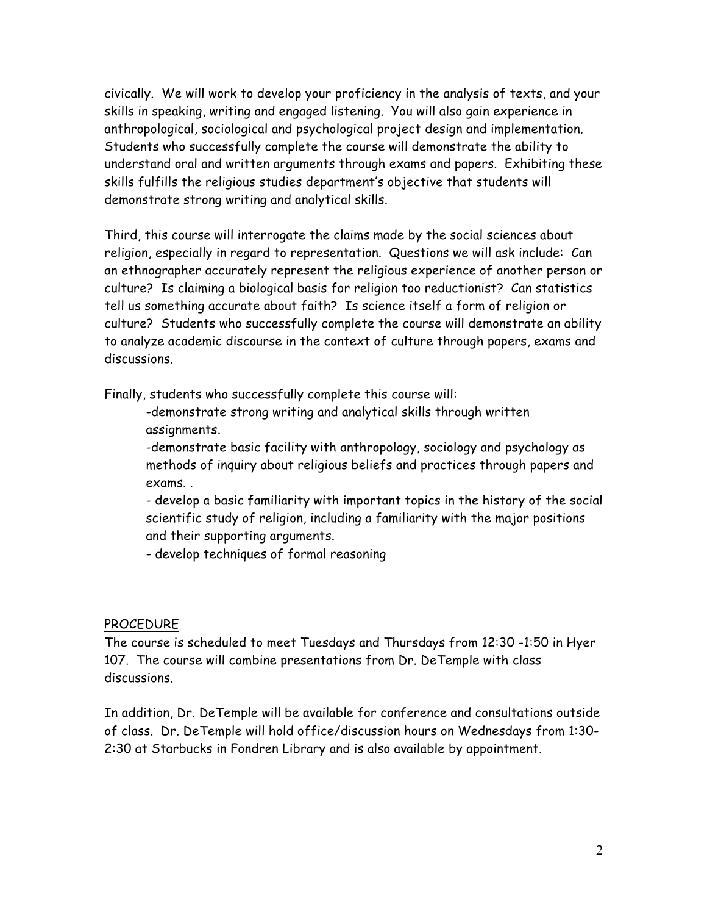civically. We will work to develop your proficiency in the analysis of texts, and your skills in speaking, writing and engaged listening. You will also gain experience in anthropological, sociological and psychological project design and implementation. Students who successfully complete the course will demonstrate the ability to understand oral and written arguments through exams and papers. Exhibiting these skills fulfills the religious studies department's objective that students will demonstrate strong writing and analytical skills.

Third, this course will interrogate the claims made by the social sciences about religion, especially in regard to representation. Questions we will ask include: Can an ethnographer accurately represent the religious experience of another person or culture? Is claiming a biological basis for religion too reductionist? Can statistics tell us something accurate about faith? Is science itself a form of religion or culture? Students who successfully complete the course will demonstrate an ability to analyze academic discourse in the context of culture through papers, exams and discussions.

Finally, students who successfully complete this course will:

-demonstrate strong writing and analytical skills through written assignments.

-demonstrate basic facility with anthropology, sociology and psychology as methods of inquiry about religious beliefs and practices through papers and exams. .

- develop a basic familiarity with important topics in the history of the social scientific study of religion, including a familiarity with the major positions and their supporting arguments.

- develop techniques of formal reasoning

## PROCEDURE

The course is scheduled to meet Tuesdays and Thursdays from 12:30 -1:50 in Hyer 107. The course will combine presentations from Dr. DeTemple with class discussions.

In addition, Dr. DeTemple will be available for conference and consultations outside of class. Dr. DeTemple will hold office/discussion hours on Wednesdays from 1:30- 2:30 at Starbucks in Fondren Library and is also available by appointment.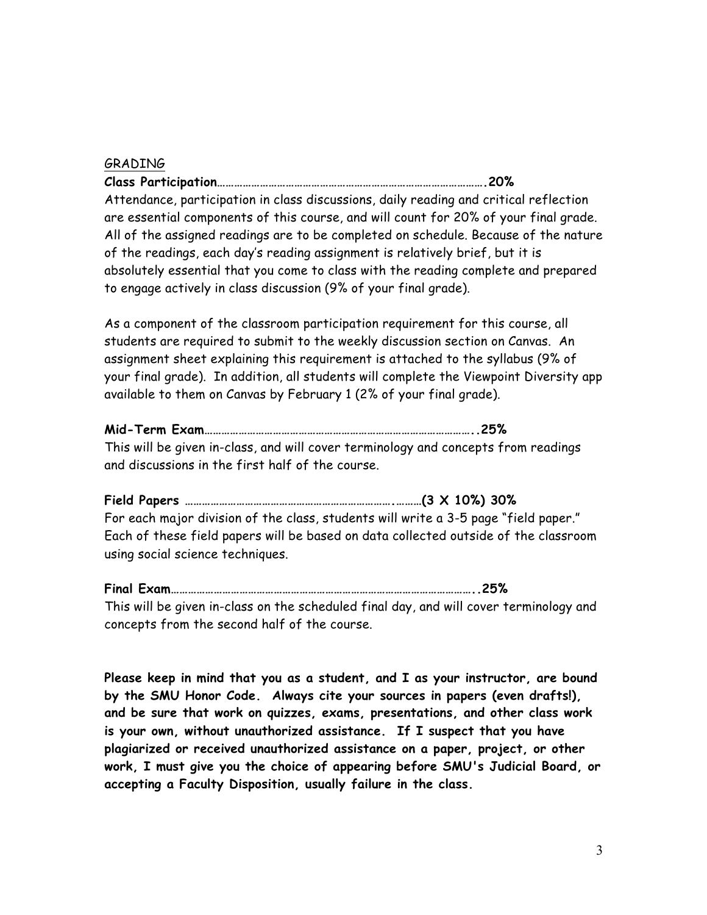## GRADING

**Class Participation………………………………………………………………………………….20%** Attendance, participation in class discussions, daily reading and critical reflection are essential components of this course, and will count for 20% of your final grade. All of the assigned readings are to be completed on schedule. Because of the nature of the readings, each day's reading assignment is relatively brief, but it is absolutely essential that you come to class with the reading complete and prepared to engage actively in class discussion (9% of your final grade).

As a component of the classroom participation requirement for this course, all students are required to submit to the weekly discussion section on Canvas. An assignment sheet explaining this requirement is attached to the syllabus (9% of your final grade). In addition, all students will complete the Viewpoint Diversity app available to them on Canvas by February 1 (2% of your final grade).

## **Mid-Term Exam…………………………………………………………………………………..25%**

This will be given in-class, and will cover terminology and concepts from readings and discussions in the first half of the course.

**Field Papers ……………………………………………………………….………(3 X 10%) 30%**  For each major division of the class, students will write a 3-5 page "field paper." Each of these field papers will be based on data collected outside of the classroom using social science techniques.

**Final Exam……………………………………………………………………………………………..25%** This will be given in-class on the scheduled final day, and will cover terminology and concepts from the second half of the course.

**Please keep in mind that you as a student, and I as your instructor, are bound by the SMU Honor Code. Always cite your sources in papers (even drafts!), and be sure that work on quizzes, exams, presentations, and other class work is your own, without unauthorized assistance. If I suspect that you have plagiarized or received unauthorized assistance on a paper, project, or other work, I must give you the choice of appearing before SMU's Judicial Board, or accepting a Faculty Disposition, usually failure in the class.**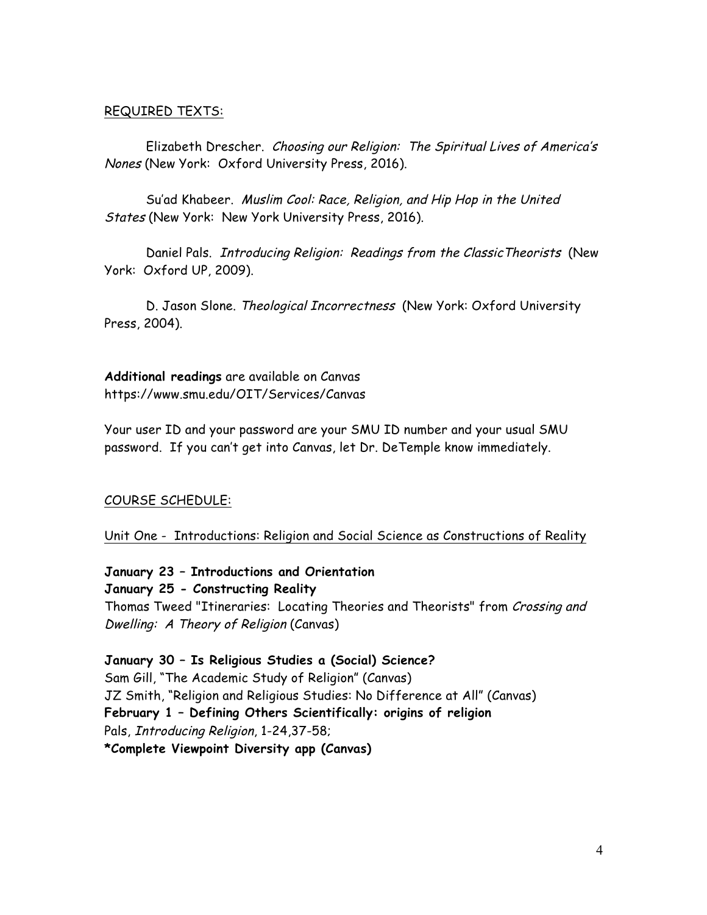## REQUIRED TEXTS:

Elizabeth Drescher. Choosing our Religion: The Spiritual Lives of America's Nones (New York: Oxford University Press, 2016).

Su'ad Khabeer. Muslim Cool: Race, Religion, and Hip Hop in the United States (New York: New York University Press, 2016).

Daniel Pals. Introducing Religion: Readings from the ClassicTheorists (New York: Oxford UP, 2009).

D. Jason Slone. Theological Incorrectness (New York: Oxford University Press, 2004).

**Additional readings** are available on Canvas https://www.smu.edu/OIT/Services/Canvas

Your user ID and your password are your SMU ID number and your usual SMU password. If you can't get into Canvas, let Dr. DeTemple know immediately.

#### COURSE SCHEDULE:

Unit One - Introductions: Religion and Social Science as Constructions of Reality

**January 23 – Introductions and Orientation**

**January 25 - Constructing Reality**  Thomas Tweed "Itineraries: Locating Theories and Theorists" from Crossing and Dwelling: A Theory of Religion (Canvas)

**January 30 – Is Religious Studies a (Social) Science?** Sam Gill, "The Academic Study of Religion" (Canvas) JZ Smith, "Religion and Religious Studies: No Difference at All" (Canvas) **February 1 – Defining Others Scientifically: origins of religion** Pals, Introducing Religion, 1-24,37-58; **\*Complete Viewpoint Diversity app (Canvas)**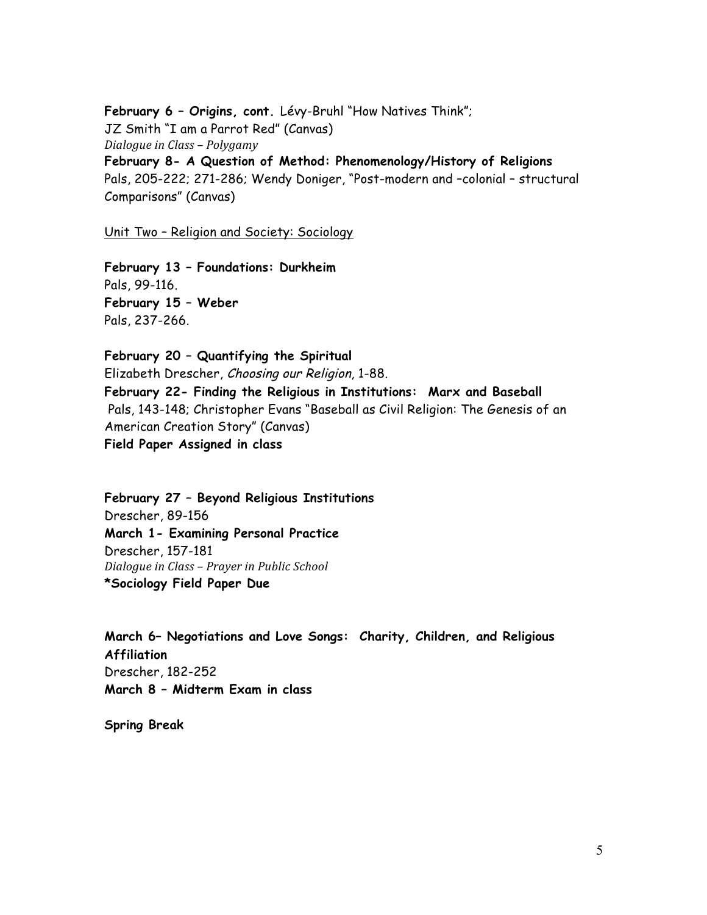**February 6 – Origins, cont.** Lévy-Bruhl "How Natives Think"; JZ Smith "I am a Parrot Red" (Canvas) *Dialogue in Class - Polygamy* **February 8- A Question of Method: Phenomenology/History of Religions**  Pals, 205-222; 271-286; Wendy Doniger, "Post-modern and –colonial – structural Comparisons" (Canvas)

Unit Two – Religion and Society: Sociology

**February 13 – Foundations: Durkheim** Pals, 99-116. **February 15 – Weber**  Pals, 237-266.

**February 20 – Quantifying the Spiritual** Elizabeth Drescher, Choosing our Religion, 1-88. **February 22- Finding the Religious in Institutions: Marx and Baseball** Pals, 143-148; Christopher Evans "Baseball as Civil Religion: The Genesis of an American Creation Story" (Canvas) **Field Paper Assigned in class**

**February 27 – Beyond Religious Institutions** Drescher, 89-156 **March 1- Examining Personal Practice**  Drescher, 157-181 *Dialogue in Class – Prayer in Public School* **\*Sociology Field Paper Due**

**March 6– Negotiations and Love Songs: Charity, Children, and Religious Affiliation** Drescher, 182-252 **March 8 – Midterm Exam in class**

**Spring Break**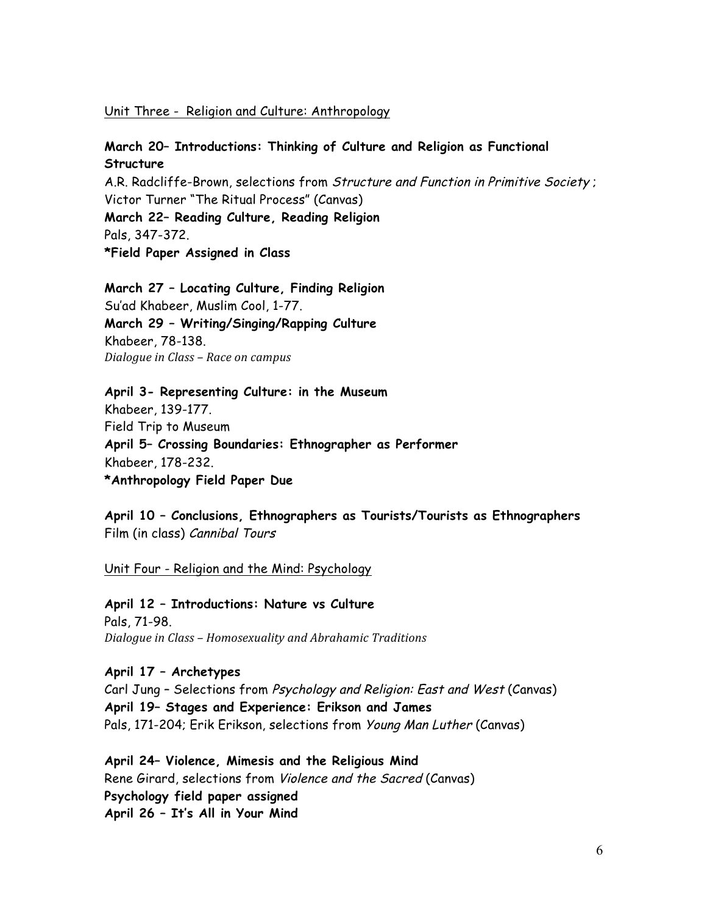## Unit Three - Religion and Culture: Anthropology

## **March 20– Introductions: Thinking of Culture and Religion as Functional Structure**

A.R. Radcliffe-Brown, selections from Structure and Function in Primitive Society ; Victor Turner "The Ritual Process" (Canvas) **March 22– Reading Culture, Reading Religion**  Pals, 347-372.

**\*Field Paper Assigned in Class**

**March 27 – Locating Culture, Finding Religion** Su'ad Khabeer, Muslim Cool, 1-77. **March 29 – Writing/Singing/Rapping Culture** Khabeer, 78-138. *Dialogue in Class – Race on campus* 

**April 3- Representing Culture: in the Museum** Khabeer, 139-177. Field Trip to Museum **April 5– Crossing Boundaries: Ethnographer as Performer** Khabeer, 178-232. **\*Anthropology Field Paper Due** 

**April 10 – Conclusions, Ethnographers as Tourists/Tourists as Ethnographers**  Film (in class) Cannibal Tours

Unit Four - Religion and the Mind: Psychology

**April 12 – Introductions: Nature vs Culture** Pals, 71-98. *Dialogue in Class – Homosexuality and Abrahamic Traditions* 

**April 17 – Archetypes** Carl Jung – Selections from Psychology and Religion: East and West (Canvas) **April 19– Stages and Experience: Erikson and James** Pals, 171-204; Erik Erikson, selections from Young Man Luther (Canvas)

**April 24– Violence, Mimesis and the Religious Mind** Rene Girard, selections from Violence and the Sacred (Canvas) **Psychology field paper assigned April 26 – It's All in Your Mind**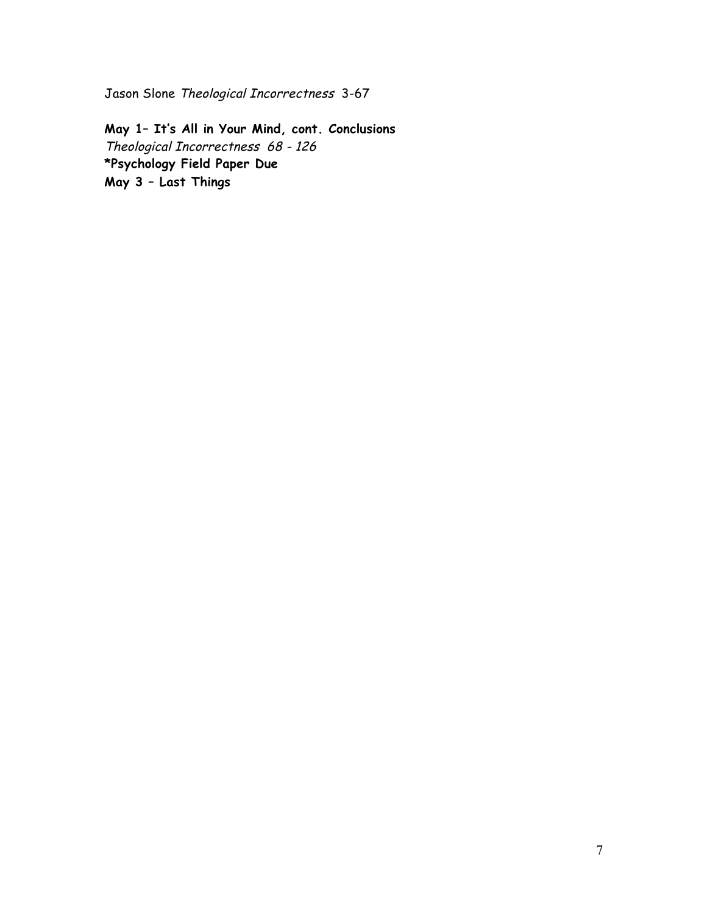Jason Slone Theological Incorrectness 3-67

**May 1– It's All in Your Mind, cont. Conclusions** Theological Incorrectness 68 - 126 **\*Psychology Field Paper Due May 3 – Last Things**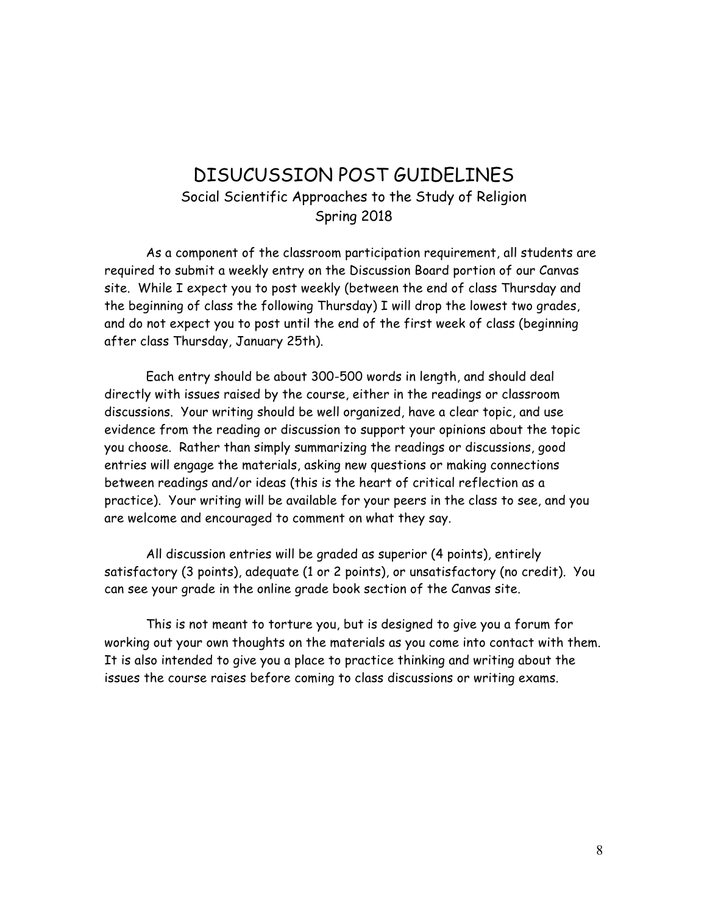# DISUCUSSION POST GUIDELINES Social Scientific Approaches to the Study of Religion Spring 2018

As a component of the classroom participation requirement, all students are required to submit a weekly entry on the Discussion Board portion of our Canvas site. While I expect you to post weekly (between the end of class Thursday and the beginning of class the following Thursday) I will drop the lowest two grades, and do not expect you to post until the end of the first week of class (beginning after class Thursday, January 25th).

Each entry should be about 300-500 words in length, and should deal directly with issues raised by the course, either in the readings or classroom discussions. Your writing should be well organized, have a clear topic, and use evidence from the reading or discussion to support your opinions about the topic you choose. Rather than simply summarizing the readings or discussions, good entries will engage the materials, asking new questions or making connections between readings and/or ideas (this is the heart of critical reflection as a practice). Your writing will be available for your peers in the class to see, and you are welcome and encouraged to comment on what they say.

All discussion entries will be graded as superior (4 points), entirely satisfactory (3 points), adequate (1 or 2 points), or unsatisfactory (no credit). You can see your grade in the online grade book section of the Canvas site.

This is not meant to torture you, but is designed to give you a forum for working out your own thoughts on the materials as you come into contact with them. It is also intended to give you a place to practice thinking and writing about the issues the course raises before coming to class discussions or writing exams.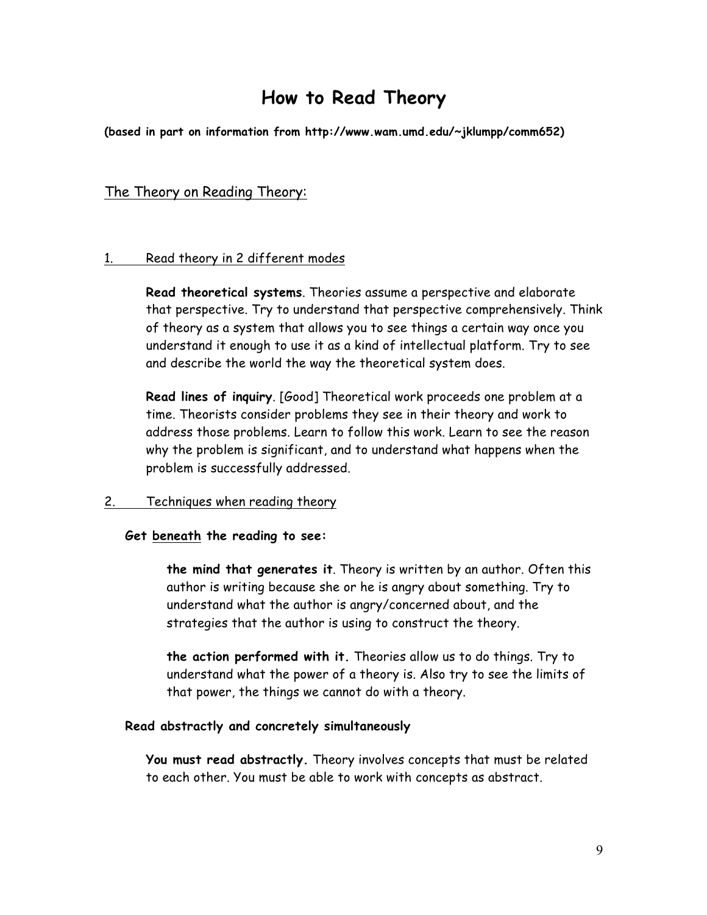# **How to Read Theory**

**(based in part on information from http://www.wam.umd.edu/~jklumpp/comm652)**

## The Theory on Reading Theory:

## 1. Read theory in 2 different modes

**Read theoretical systems**. Theories assume a perspective and elaborate that perspective. Try to understand that perspective comprehensively. Think of theory as a system that allows you to see things a certain way once you understand it enough to use it as a kind of intellectual platform. Try to see and describe the world the way the theoretical system does.

**Read lines of inquiry**. [Good] Theoretical work proceeds one problem at a time. Theorists consider problems they see in their theory and work to address those problems. Learn to follow this work. Learn to see the reason why the problem is significant, and to understand what happens when the problem is successfully addressed.

#### 2. Techniques when reading theory

#### **Get beneath the reading to see:**

**the mind that generates it**. Theory is written by an author. Often this author is writing because she or he is angry about something. Try to understand what the author is angry/concerned about, and the strategies that the author is using to construct the theory.

**the action performed with it.** Theories allow us to do things. Try to understand what the power of a theory is. Also try to see the limits of that power, the things we cannot do with a theory.

#### **Read abstractly and concretely simultaneously**

**You must read abstractly.** Theory involves concepts that must be related to each other. You must be able to work with concepts as abstract.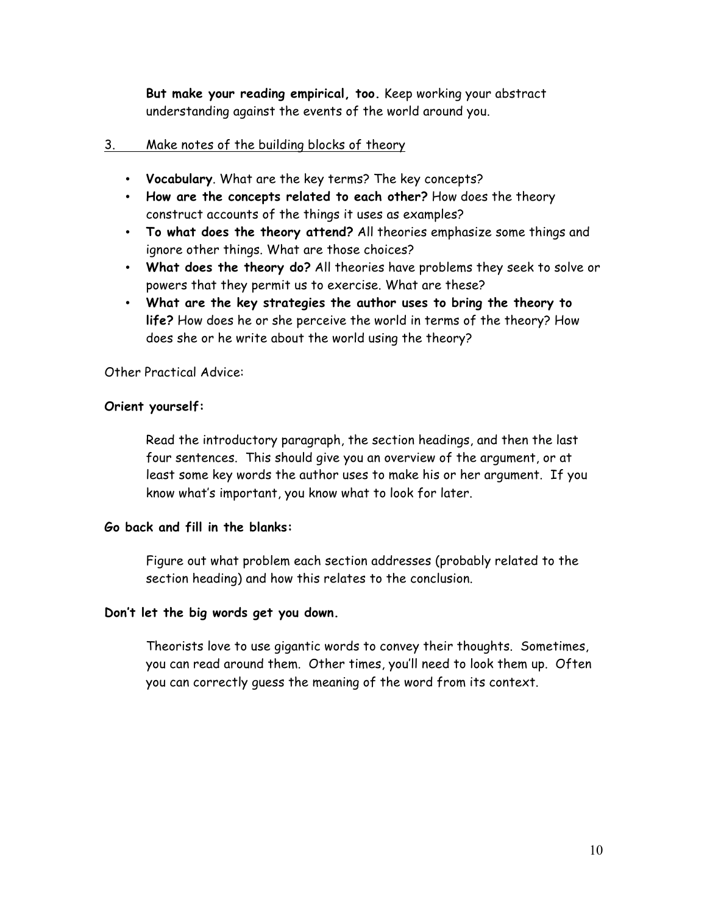**But make your reading empirical, too.** Keep working your abstract understanding against the events of the world around you.

## 3. Make notes of the building blocks of theory

- **Vocabulary**. What are the key terms? The key concepts?
- **How are the concepts related to each other?** How does the theory construct accounts of the things it uses as examples?
- **To what does the theory attend?** All theories emphasize some things and ignore other things. What are those choices?
- **What does the theory do?** All theories have problems they seek to solve or powers that they permit us to exercise. What are these?
- **What are the key strategies the author uses to bring the theory to life?** How does he or she perceive the world in terms of the theory? How does she or he write about the world using the theory?

Other Practical Advice:

## **Orient yourself:**

Read the introductory paragraph, the section headings, and then the last four sentences. This should give you an overview of the argument, or at least some key words the author uses to make his or her argument. If you know what's important, you know what to look for later.

#### **Go back and fill in the blanks:**

Figure out what problem each section addresses (probably related to the section heading) and how this relates to the conclusion.

#### **Don't let the big words get you down.**

Theorists love to use gigantic words to convey their thoughts. Sometimes, you can read around them. Other times, you'll need to look them up. Often you can correctly guess the meaning of the word from its context.